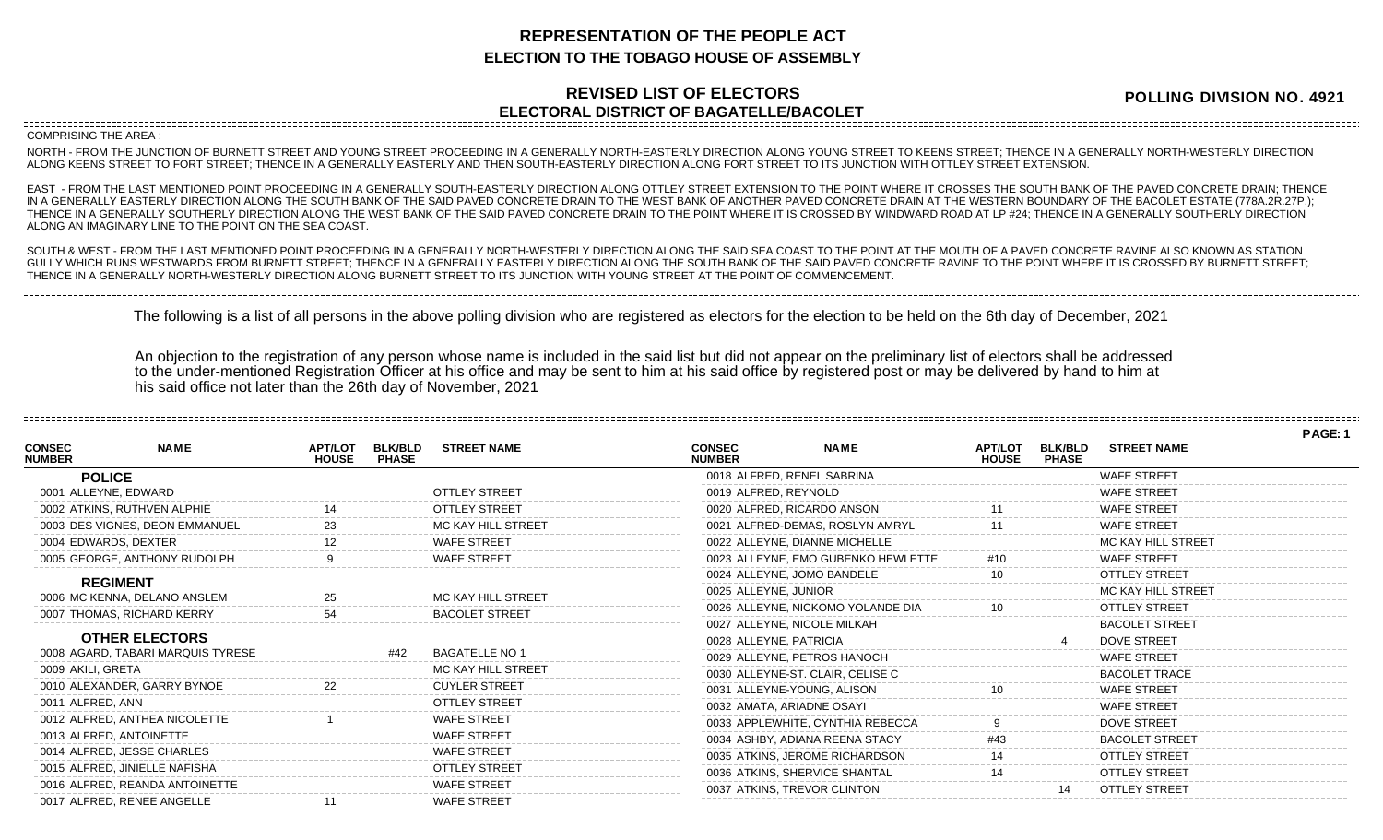## **REPRESENTATION OF THE PEOPLE ACT ELECTION TO THE TOBAGO HOUSE OF ASSEMBLY**

## **REVISED LIST OF ELECTORS ELECTORAL DISTRICT OF BAGATELLE/BACOLET**

**POLLING DIVISION NO. 4921**

**PAGE: 1**

COMPRISING THE AREA :

NORTH - FROM THE JUNCTION OF BURNETT STREET AND YOUNG STREET PROCEEDING IN A GENERALLY NORTH-EASTERLY DIRECTION ALONG YOUNG STREET TO KEENS STREET; THENCE IN A GENERALLY NORTH-WESTERLY DIRECTION ALONG KEENS STREET TO FORT STREET; THENCE IN A GENERALLY EASTERLY AND THEN SOUTH-EASTERLY DIRECTION ALONG FORT STREET TO ITS JUNCTION WITH OTTLEY STREET EXTENSION.

EAST - FROM THE LAST MENTIONED POINT PROCEEDING IN A GENERALLY SOUTH-EASTERLY DIRECTION ALONG OTTLEY STREET EXTENSION TO THE POINT WHERE IT CROSSES THE SOUTH BANK OF THE PAVED CONCRETE DRAIN; THENCE IN A GENERALLY EASTERLY DIRECTION ALONG THE SOUTH BANK OF THE SAID PAVED CONCRETE DRAIN TO THE WEST BANK OF ANOTHER PAVED CONCRETE DRAIN AT THE WESTERN BOUNDARY OF THE BACOLET ESTATE (778A.2R.27P.); THENCE IN A GENERALLY SOUTHERLY DIRECTION ALONG THE WEST BANK OF THE SAID PAVED CONCRETE DRAIN TO THE POINT WHERE IT IS CROSSED BY WINDWARD ROAD AT LP #24; THENCE IN A GENERALLY SOUTHERLY DIRECTION ALONG AN IMAGINARY LINE TO THE POINT ON THE SEA COAST.

SOUTH & WEST - FROM THE LAST MENTIONED POINT PROCEEDING IN A GENERALLY NORTH-WESTERLY DIRECTION ALONG THE SAID SEA COAST TO THE POINT AT THE MOUTH OF A PAVED CONCRETE RAVINE ALSO KNOWN AS STATION GULLY WHICH RUNS WESTWARDS FROM BURNETT STREET; THENCE IN A GENERALLY EASTERLY DIRECTION ALONG THE SOUTH BANK OF THE SAID PAVED CONCRETE RAVINE TO THE POINT WHERE IT IS CROSSED BY BURNETT STREET; THENCE IN A GENERALLY NORTH-WESTERLY DIRECTION ALONG BURNETT STREET TO ITS JUNCTION WITH YOUNG STREET AT THE POINT OF COMMENCEMENT.

The following is a list of all persons in the above polling division who are registered as electors for the election to be held on the 6th day of December, 2021

An objection to the registration of any person whose name is included in the said list but did not appear on the preliminary list of electors shall be addressed to the under-mentioned Registration Officer at his office and may be sent to him at his said office by registered post or may be delivered by hand to him at his said office not later than the 26th day of November, 2021

|                                |                                                                                                                                                                                                 |                                |                      |                                                                                                                                          |             |                                                                                                                                                                                                                                                                                                                                                                                                                                                                                                                                                                                                                                                      |                                |                       | <b>FAGE.</b> |
|--------------------------------|-------------------------------------------------------------------------------------------------------------------------------------------------------------------------------------------------|--------------------------------|----------------------|------------------------------------------------------------------------------------------------------------------------------------------|-------------|------------------------------------------------------------------------------------------------------------------------------------------------------------------------------------------------------------------------------------------------------------------------------------------------------------------------------------------------------------------------------------------------------------------------------------------------------------------------------------------------------------------------------------------------------------------------------------------------------------------------------------------------------|--------------------------------|-----------------------|--------------|
| <b>NAME</b>                    | <b>APT/LOT</b><br><b>HOUSE</b>                                                                                                                                                                  | <b>BLK/BLD</b><br><b>PHASE</b> | <b>STREET NAME</b>   | <b>CONSEC</b><br><b>NUMBER</b>                                                                                                           | <b>NAME</b> | <b>APT/LOT</b><br><b>HOUSE</b>                                                                                                                                                                                                                                                                                                                                                                                                                                                                                                                                                                                                                       | <b>BLK/BLD</b><br><b>PHASE</b> | <b>STREET NAME</b>    |              |
| <b>POLICE</b>                  |                                                                                                                                                                                                 |                                |                      |                                                                                                                                          |             |                                                                                                                                                                                                                                                                                                                                                                                                                                                                                                                                                                                                                                                      |                                | <b>WAFE STREET</b>    |              |
| 0001 ALLEYNE, EDWARD           |                                                                                                                                                                                                 |                                | <b>OTTLEY STREET</b> |                                                                                                                                          |             |                                                                                                                                                                                                                                                                                                                                                                                                                                                                                                                                                                                                                                                      |                                | <b>WAFE STREET</b>    |              |
| 0002 ATKINS, RUTHVEN ALPHIE    |                                                                                                                                                                                                 |                                | <b>OTTLEY STREET</b> |                                                                                                                                          |             |                                                                                                                                                                                                                                                                                                                                                                                                                                                                                                                                                                                                                                                      |                                | <b>WAFE STREET</b>    |              |
| 0003 DES VIGNES, DEON EMMANUEL |                                                                                                                                                                                                 |                                | MC KAY HILL STREET   |                                                                                                                                          |             |                                                                                                                                                                                                                                                                                                                                                                                                                                                                                                                                                                                                                                                      |                                | <b>WAFE STREET</b>    |              |
| 0004 EDWARDS, DEXTER           |                                                                                                                                                                                                 |                                | <b>WAFE STREET</b>   |                                                                                                                                          |             |                                                                                                                                                                                                                                                                                                                                                                                                                                                                                                                                                                                                                                                      |                                | MC KAY HILL STREET    |              |
| 0005 GEORGE, ANTHONY RUDOLPH   |                                                                                                                                                                                                 |                                | <b>WAFE STREET</b>   |                                                                                                                                          |             |                                                                                                                                                                                                                                                                                                                                                                                                                                                                                                                                                                                                                                                      |                                | <b>WAFE STREET</b>    |              |
|                                |                                                                                                                                                                                                 |                                |                      |                                                                                                                                          |             |                                                                                                                                                                                                                                                                                                                                                                                                                                                                                                                                                                                                                                                      |                                | <b>OTTLEY STREET</b>  |              |
|                                |                                                                                                                                                                                                 |                                |                      |                                                                                                                                          |             |                                                                                                                                                                                                                                                                                                                                                                                                                                                                                                                                                                                                                                                      |                                | MC KAY HILL STREET    |              |
|                                |                                                                                                                                                                                                 |                                |                      |                                                                                                                                          |             |                                                                                                                                                                                                                                                                                                                                                                                                                                                                                                                                                                                                                                                      |                                | <b>OTTLEY STREET</b>  |              |
|                                |                                                                                                                                                                                                 |                                |                      |                                                                                                                                          |             |                                                                                                                                                                                                                                                                                                                                                                                                                                                                                                                                                                                                                                                      |                                | <b>BACOLET STREET</b> |              |
|                                |                                                                                                                                                                                                 |                                |                      |                                                                                                                                          |             |                                                                                                                                                                                                                                                                                                                                                                                                                                                                                                                                                                                                                                                      |                                | <b>DOVE STREET</b>    |              |
|                                |                                                                                                                                                                                                 |                                |                      |                                                                                                                                          |             |                                                                                                                                                                                                                                                                                                                                                                                                                                                                                                                                                                                                                                                      |                                | <b>WAFE STREET</b>    |              |
|                                |                                                                                                                                                                                                 |                                |                      |                                                                                                                                          |             |                                                                                                                                                                                                                                                                                                                                                                                                                                                                                                                                                                                                                                                      |                                | <b>BACOLET TRACE</b>  |              |
|                                |                                                                                                                                                                                                 |                                |                      |                                                                                                                                          |             |                                                                                                                                                                                                                                                                                                                                                                                                                                                                                                                                                                                                                                                      |                                | <b>WAFE STREET</b>    |              |
| 0011 ALFRED, ANN               |                                                                                                                                                                                                 |                                | OTTLEY STREET        |                                                                                                                                          |             |                                                                                                                                                                                                                                                                                                                                                                                                                                                                                                                                                                                                                                                      |                                | <b>WAFE STREET</b>    |              |
| 0012 ALFRED, ANTHEA NICOLETTE  |                                                                                                                                                                                                 |                                | <b>WAFE STREET</b>   |                                                                                                                                          |             |                                                                                                                                                                                                                                                                                                                                                                                                                                                                                                                                                                                                                                                      |                                | <b>DOVE STREET</b>    |              |
| 0013 ALFRED, ANTOINETTE        |                                                                                                                                                                                                 |                                |                      |                                                                                                                                          |             |                                                                                                                                                                                                                                                                                                                                                                                                                                                                                                                                                                                                                                                      |                                | <b>BACOLET STREET</b> |              |
| 0014 ALFRED, JESSE CHARLES     |                                                                                                                                                                                                 |                                | <b>WAFE STREET</b>   |                                                                                                                                          |             |                                                                                                                                                                                                                                                                                                                                                                                                                                                                                                                                                                                                                                                      |                                | <b>OTTLEY STREET</b>  |              |
| 0015 ALFRED, JINIELLE NAFISHA  |                                                                                                                                                                                                 |                                | <b>OTTLEY STREET</b> |                                                                                                                                          |             |                                                                                                                                                                                                                                                                                                                                                                                                                                                                                                                                                                                                                                                      |                                | <b>OTTLEY STREET</b>  |              |
| 0016 ALFRED, REANDA ANTOINETTE |                                                                                                                                                                                                 |                                | <b>WAFE STREET</b>   |                                                                                                                                          |             |                                                                                                                                                                                                                                                                                                                                                                                                                                                                                                                                                                                                                                                      |                                | OTTI EY STREET        |              |
| 0017 ALFRED, RENEE ANGELLE     |                                                                                                                                                                                                 |                                | <b>WAFE STREET</b>   |                                                                                                                                          |             |                                                                                                                                                                                                                                                                                                                                                                                                                                                                                                                                                                                                                                                      |                                |                       |              |
|                                | <b>REGIMENT</b><br>0006 MC KENNA, DELANO ANSLEM<br>0007 THOMAS, RICHARD KERRY<br><b>OTHER ELECTORS</b><br>0008 AGARD, TABARI MARQUIS TYRESE<br>0009 AKILI, GRETA<br>0010 ALEXANDER, GARRY BYNOE |                                | #42                  | MC KAY HILL STREET<br><b>BACOLET STREET</b><br><b>BAGATELLE NO 1</b><br>MC KAY HILL STREET<br><b>CUYLER STREET</b><br><b>WAFE STREET</b> |             | 0018 ALFRED, RENEL SABRINA<br>0019 ALFRED, REYNOLD<br>0020 ALFRED, RICARDO ANSON<br>0021 ALFRED-DEMAS, ROSLYN AMRYL<br>0022 ALLEYNE, DIANNE MICHELLE<br>0023 ALLEYNE, EMO GUBENKO HEWLETTE<br>0024 ALLEYNE, JOMO BANDELE<br>0025 ALLEYNE, JUNIOR<br>0026 ALLEYNE, NICKOMO YOLANDE DIA<br>0027 ALLEYNE, NICOLE MILKAH<br>0028 ALLEYNE, PATRICIA<br>0029 ALLEYNE, PETROS HANOCH<br>0030 ALLEYNE-ST. CLAIR, CELISE C<br>0031 ALLEYNE-YOUNG, ALISON<br>0032 AMATA, ARIADNE OSAYI<br>0033 APPLEWHITE, CYNTHIA REBECCA<br>0034 ASHBY, ADIANA REENA STACY<br>0035 ATKINS, JEROME RICHARDSON<br>0036 ATKINS, SHERVICE SHANTAL<br>0037 ATKINS, TREVOR CLINTON |                                |                       |              |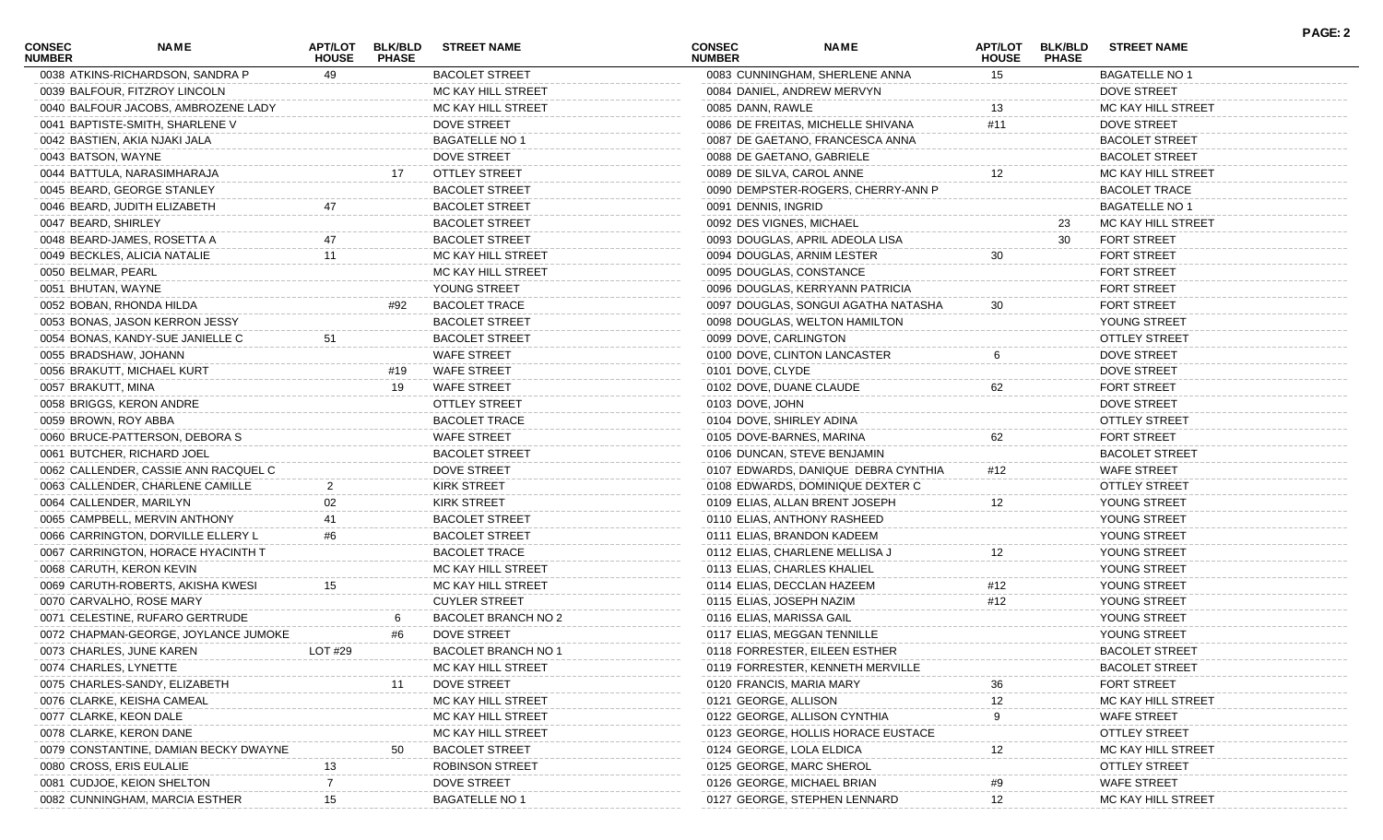| 0038 ATKINS-RICHARDSON, SANDRA P<br><b>BACOLET STREET</b><br>0083 CUNNINGHAM, SHERLENE ANNA<br><b>BAGATELLE NO 1</b><br>49<br>15<br>0039 BALFOUR, FITZROY LINCOLN<br>MC KAY HILL STREET<br>0084 DANIEL, ANDREW MERVYN<br>DOVE STREET<br>MC KAY HILL STREET<br>0040 BALFOUR JACOBS, AMBROZENE LADY<br>0085 DANN, RAWLE<br>13<br>MC KAY HILL STREET<br><b>DOVE STREET</b><br>0086 DE FREITAS, MICHELLE SHIVANA<br><b>DOVE STREET</b><br>0041 BAPTISTE-SMITH, SHARLENE V<br>#11<br>0042 BASTIEN, AKIA NJAKI JALA<br><b>BAGATELLE NO 1</b><br>0087 DE GAETANO, FRANCESCA ANNA<br><b>BACOLET STREET</b><br>0043 BATSON, WAYNE<br><b>DOVE STREET</b><br>0088 DE GAETANO, GABRIELE<br><b>BACOLET STREET</b><br>OTTLEY STREET<br>0044 BATTULA, NARASIMHARAJA<br>0089 DE SILVA, CAROL ANNE<br>12<br>MC KAY HILL STREET<br><b>BACOLET STREET</b><br>0090 DEMPSTER-ROGERS, CHERRY-ANN P<br><b>BACOLET TRACE</b><br>0045 BEARD, GEORGE STANLEY<br><b>BACOLET STREET</b><br><b>BAGATELLE NO 1</b><br>0046 BEARD, JUDITH ELIZABETH<br>0091 DENNIS, INGRID<br>0047 BEARD, SHIRLEY<br><b>BACOLET STREET</b><br>0092 DES VIGNES, MICHAEL<br>23<br>MC KAY HILL STREET<br>0048 BEARD-JAMES, ROSETTA A<br><b>BACOLET STREET</b><br>0093 DOUGLAS, APRIL ADEOLA LISA<br><b>FORT STREET</b><br>30<br>MC KAY HILL STREET<br>0049 BECKLES, ALICIA NATALIE<br>0094 DOUGLAS, ARNIM LESTER<br>30<br><b>FORT STREET</b><br>11<br>0050 BELMAR, PEARL<br>MC KAY HILL STREET<br>0095 DOUGLAS, CONSTANCE<br><b>FORT STREET</b><br>0051 BHUTAN, WAYNE<br>YOUNG STREET<br>0096 DOUGLAS, KERRYANN PATRICIA<br><b>FORT STREET</b><br><b>BACOLET TRACE</b><br>0052 BOBAN, RHONDA HILDA<br>#92<br>0097 DOUGLAS, SONGUI AGATHA NATASHA<br>30<br><b>FORT STREET</b><br>0053 BONAS, JASON KERRON JESSY<br><b>BACOLET STREET</b><br>0098 DOUGLAS, WELTON HAMILTON<br>YOUNG STREET<br><b>BACOLET STREET</b><br><b>OTTLEY STREET</b><br>0054 BONAS, KANDY-SUE JANIELLE C<br>0099 DOVE, CARLINGTON<br>51<br><b>WAFE STREET</b><br><b>DOVE STREET</b><br>0055 BRADSHAW, JOHANN<br>0100 DOVE, CLINTON LANCASTER<br><b>WAFE STREET</b><br>0056 BRAKUTT, MICHAEL KURT<br>#19<br>0101 DOVE, CLYDE<br>DOVE STREET<br>19<br>62<br>0057 BRAKUTT, MINA<br>WAFE STREET<br>0102 DOVE, DUANE CLAUDE<br><b>FORT STREET</b><br><b>OTTLEY STREET</b><br>0058 BRIGGS, KERON ANDRE<br>0103 DOVE, JOHN<br>DOVE STREET<br><b>BACOLET TRACE</b><br>0104 DOVE, SHIRLEY ADINA<br><b>OTTLEY STREET</b><br>0059 BROWN, ROY ABBA<br>0060 BRUCE-PATTERSON, DEBORA S<br><b>WAFE STREET</b><br>62<br><b>FORT STREET</b><br>0105 DOVE-BARNES, MARINA<br>0061 BUTCHER, RICHARD JOEL<br><b>BACOLET STREET</b><br>0106 DUNCAN, STEVE BENJAMIN<br><b>BACOLET STREET</b><br>0062 CALLENDER, CASSIE ANN RACQUEL C<br><b>DOVE STREET</b><br>0107 EDWARDS, DANIQUE DEBRA CYNTHIA<br>#12<br><b>WAFE STREET</b><br>0063 CALLENDER, CHARLENE CAMILLE<br><b>KIRK STREET</b><br><b>OTTLEY STREET</b><br>0108 EDWARDS, DOMINIQUE DEXTER C<br>0064 CALLENDER, MARILYN<br><b>KIRK STREET</b><br>YOUNG STREET<br>0109 ELIAS, ALLAN BRENT JOSEPH<br>12<br><b>BACOLET STREET</b><br>YOUNG STREET<br>0065 CAMPBELL, MERVIN ANTHONY<br>0110 ELIAS, ANTHONY RASHEED<br>0066 CARRINGTON, DORVILLE ELLERY L<br><b>BACOLET STREET</b><br>0111 ELIAS, BRANDON KADEEM<br>YOUNG STREET<br>#6<br>0067 CARRINGTON, HORACE HYACINTH T<br><b>BACOLET TRACE</b><br>YOUNG STREET<br>0112 ELIAS, CHARLENE MELLISA J<br>12<br>0068 CARUTH, KERON KEVIN<br>MC KAY HILL STREET<br>YOUNG STREET<br>0113 ELIAS, CHARLES KHALIEL<br>0069 CARUTH-ROBERTS, AKISHA KWESI<br>15<br>MC KAY HILL STREET<br>YOUNG STREET<br>0114 ELIAS, DECCLAN HAZEEM<br>#12<br>0070 CARVALHO, ROSE MARY<br><b>CUYLER STREET</b><br>#12<br>0115 ELIAS, JOSEPH NAZIM<br>YOUNG STREET<br><b>BACOLET BRANCH NO 2</b><br>0116 ELIAS, MARISSA GAIL<br>YOUNG STREET<br>0071 CELESTINE, RUFARO GERTRUDE<br>0072 CHAPMAN-GEORGE, JOYLANCE JUMOKE<br><b>DOVE STREET</b><br>0117 ELIAS, MEGGAN TENNILLE<br>YOUNG STREET<br>#6<br>LOT #29<br>BACOLET BRANCH NO 1<br><b>BACOLET STREET</b><br>0073 CHARLES, JUNE KAREN<br>0118 FORRESTER, EILEEN ESTHER<br>0074 CHARLES, LYNETTE<br>MC KAY HILL STREET<br>0119 FORRESTER, KENNETH MERVILLE<br><b>BACOLET STREET</b><br><b>DOVE STREET</b><br><b>FORT STREET</b><br>0075 CHARLES-SANDY, ELIZABETH<br>0120 FRANCIS, MARIA MARY<br>36<br>0076 CLARKE, KEISHA CAMEAL<br>MC KAY HILL STREET<br>0121 GEORGE, ALLISON<br>MC KAY HILL STREET<br>0077 CLARKE, KEON DALE<br>MC KAY HILL STREET<br>0122 GEORGE, ALLISON CYNTHIA<br><b>WAFE STREET</b><br>0078 CLARKE, KERON DANE<br>MC KAY HILL STREET<br><b>OTTLEY STREET</b><br>0123 GEORGE, HOLLIS HORACE EUSTACE<br>0079 CONSTANTINE, DAMIAN BECKY DWAYNE<br><b>BACOLET STREET</b><br>0124 GEORGE, LOLA ELDICA<br>12<br>MC KAY HILL STREET<br><b>ROBINSON STREET</b><br>0125 GEORGE, MARC SHEROL<br><b>OTTLEY STREET</b><br>0080 CROSS, ERIS EULALIE<br><b>DOVE STREET</b><br><b>WAFE STREET</b><br>0081 CUDJOE, KEION SHELTON<br>0126 GEORGE, MICHAEL BRIAN<br><b>BAGATELLE NO 1</b><br>0082 CUNNINGHAM, MARCIA ESTHER<br>0127 GEORGE, STEPHEN LENNARD<br>MC KAY HILL STREET | <b>CONSEC</b><br><b>NUMBER</b> | <b>NAME</b> | APT/LOT<br><b>HOUSE</b> | <b>BLK/BLD</b><br><b>PHASE</b> | <b>STREET NAME</b> | <b>CONSEC</b><br><b>NUMBER</b> | <b>NAME</b> | <b>APT/LOT</b><br><b>HOUSE</b> | <b>BLK/BLD</b><br><b>PHASE</b> | <b>STREET NAME</b> | <b>PAGE: 2</b> |
|------------------------------------------------------------------------------------------------------------------------------------------------------------------------------------------------------------------------------------------------------------------------------------------------------------------------------------------------------------------------------------------------------------------------------------------------------------------------------------------------------------------------------------------------------------------------------------------------------------------------------------------------------------------------------------------------------------------------------------------------------------------------------------------------------------------------------------------------------------------------------------------------------------------------------------------------------------------------------------------------------------------------------------------------------------------------------------------------------------------------------------------------------------------------------------------------------------------------------------------------------------------------------------------------------------------------------------------------------------------------------------------------------------------------------------------------------------------------------------------------------------------------------------------------------------------------------------------------------------------------------------------------------------------------------------------------------------------------------------------------------------------------------------------------------------------------------------------------------------------------------------------------------------------------------------------------------------------------------------------------------------------------------------------------------------------------------------------------------------------------------------------------------------------------------------------------------------------------------------------------------------------------------------------------------------------------------------------------------------------------------------------------------------------------------------------------------------------------------------------------------------------------------------------------------------------------------------------------------------------------------------------------------------------------------------------------------------------------------------------------------------------------------------------------------------------------------------------------------------------------------------------------------------------------------------------------------------------------------------------------------------------------------------------------------------------------------------------------------------------------------------------------------------------------------------------------------------------------------------------------------------------------------------------------------------------------------------------------------------------------------------------------------------------------------------------------------------------------------------------------------------------------------------------------------------------------------------------------------------------------------------------------------------------------------------------------------------------------------------------------------------------------------------------------------------------------------------------------------------------------------------------------------------------------------------------------------------------------------------------------------------------------------------------------------------------------------------------------------------------------------------------------------------------------------------------------------------------------------------------------------------------------------------------------------------------------------------------------------------------------------------------------------------------------------------------------------------------------------------------------------------------------------------------------------------------------------------------------------------------------------------------------------------------------------------------------------------------------------------------------------------------------------------------------------------------------------------------------------------------------------------------------------------------------------------------------------------------------------------------------------------------------------------------------------------------------------------------------------------------|--------------------------------|-------------|-------------------------|--------------------------------|--------------------|--------------------------------|-------------|--------------------------------|--------------------------------|--------------------|----------------|
|                                                                                                                                                                                                                                                                                                                                                                                                                                                                                                                                                                                                                                                                                                                                                                                                                                                                                                                                                                                                                                                                                                                                                                                                                                                                                                                                                                                                                                                                                                                                                                                                                                                                                                                                                                                                                                                                                                                                                                                                                                                                                                                                                                                                                                                                                                                                                                                                                                                                                                                                                                                                                                                                                                                                                                                                                                                                                                                                                                                                                                                                                                                                                                                                                                                                                                                                                                                                                                                                                                                                                                                                                                                                                                                                                                                                                                                                                                                                                                                                                                                                                                                                                                                                                                                                                                                                                                                                                                                                                                                                                                                                                                                                                                                                                                                                                                                                                                                                                                                                                                                                                                                  |                                |             |                         |                                |                    |                                |             |                                |                                |                    |                |
|                                                                                                                                                                                                                                                                                                                                                                                                                                                                                                                                                                                                                                                                                                                                                                                                                                                                                                                                                                                                                                                                                                                                                                                                                                                                                                                                                                                                                                                                                                                                                                                                                                                                                                                                                                                                                                                                                                                                                                                                                                                                                                                                                                                                                                                                                                                                                                                                                                                                                                                                                                                                                                                                                                                                                                                                                                                                                                                                                                                                                                                                                                                                                                                                                                                                                                                                                                                                                                                                                                                                                                                                                                                                                                                                                                                                                                                                                                                                                                                                                                                                                                                                                                                                                                                                                                                                                                                                                                                                                                                                                                                                                                                                                                                                                                                                                                                                                                                                                                                                                                                                                                                  |                                |             |                         |                                |                    |                                |             |                                |                                |                    |                |
|                                                                                                                                                                                                                                                                                                                                                                                                                                                                                                                                                                                                                                                                                                                                                                                                                                                                                                                                                                                                                                                                                                                                                                                                                                                                                                                                                                                                                                                                                                                                                                                                                                                                                                                                                                                                                                                                                                                                                                                                                                                                                                                                                                                                                                                                                                                                                                                                                                                                                                                                                                                                                                                                                                                                                                                                                                                                                                                                                                                                                                                                                                                                                                                                                                                                                                                                                                                                                                                                                                                                                                                                                                                                                                                                                                                                                                                                                                                                                                                                                                                                                                                                                                                                                                                                                                                                                                                                                                                                                                                                                                                                                                                                                                                                                                                                                                                                                                                                                                                                                                                                                                                  |                                |             |                         |                                |                    |                                |             |                                |                                |                    |                |
|                                                                                                                                                                                                                                                                                                                                                                                                                                                                                                                                                                                                                                                                                                                                                                                                                                                                                                                                                                                                                                                                                                                                                                                                                                                                                                                                                                                                                                                                                                                                                                                                                                                                                                                                                                                                                                                                                                                                                                                                                                                                                                                                                                                                                                                                                                                                                                                                                                                                                                                                                                                                                                                                                                                                                                                                                                                                                                                                                                                                                                                                                                                                                                                                                                                                                                                                                                                                                                                                                                                                                                                                                                                                                                                                                                                                                                                                                                                                                                                                                                                                                                                                                                                                                                                                                                                                                                                                                                                                                                                                                                                                                                                                                                                                                                                                                                                                                                                                                                                                                                                                                                                  |                                |             |                         |                                |                    |                                |             |                                |                                |                    |                |
|                                                                                                                                                                                                                                                                                                                                                                                                                                                                                                                                                                                                                                                                                                                                                                                                                                                                                                                                                                                                                                                                                                                                                                                                                                                                                                                                                                                                                                                                                                                                                                                                                                                                                                                                                                                                                                                                                                                                                                                                                                                                                                                                                                                                                                                                                                                                                                                                                                                                                                                                                                                                                                                                                                                                                                                                                                                                                                                                                                                                                                                                                                                                                                                                                                                                                                                                                                                                                                                                                                                                                                                                                                                                                                                                                                                                                                                                                                                                                                                                                                                                                                                                                                                                                                                                                                                                                                                                                                                                                                                                                                                                                                                                                                                                                                                                                                                                                                                                                                                                                                                                                                                  |                                |             |                         |                                |                    |                                |             |                                |                                |                    |                |
|                                                                                                                                                                                                                                                                                                                                                                                                                                                                                                                                                                                                                                                                                                                                                                                                                                                                                                                                                                                                                                                                                                                                                                                                                                                                                                                                                                                                                                                                                                                                                                                                                                                                                                                                                                                                                                                                                                                                                                                                                                                                                                                                                                                                                                                                                                                                                                                                                                                                                                                                                                                                                                                                                                                                                                                                                                                                                                                                                                                                                                                                                                                                                                                                                                                                                                                                                                                                                                                                                                                                                                                                                                                                                                                                                                                                                                                                                                                                                                                                                                                                                                                                                                                                                                                                                                                                                                                                                                                                                                                                                                                                                                                                                                                                                                                                                                                                                                                                                                                                                                                                                                                  |                                |             |                         |                                |                    |                                |             |                                |                                |                    |                |
|                                                                                                                                                                                                                                                                                                                                                                                                                                                                                                                                                                                                                                                                                                                                                                                                                                                                                                                                                                                                                                                                                                                                                                                                                                                                                                                                                                                                                                                                                                                                                                                                                                                                                                                                                                                                                                                                                                                                                                                                                                                                                                                                                                                                                                                                                                                                                                                                                                                                                                                                                                                                                                                                                                                                                                                                                                                                                                                                                                                                                                                                                                                                                                                                                                                                                                                                                                                                                                                                                                                                                                                                                                                                                                                                                                                                                                                                                                                                                                                                                                                                                                                                                                                                                                                                                                                                                                                                                                                                                                                                                                                                                                                                                                                                                                                                                                                                                                                                                                                                                                                                                                                  |                                |             |                         |                                |                    |                                |             |                                |                                |                    |                |
|                                                                                                                                                                                                                                                                                                                                                                                                                                                                                                                                                                                                                                                                                                                                                                                                                                                                                                                                                                                                                                                                                                                                                                                                                                                                                                                                                                                                                                                                                                                                                                                                                                                                                                                                                                                                                                                                                                                                                                                                                                                                                                                                                                                                                                                                                                                                                                                                                                                                                                                                                                                                                                                                                                                                                                                                                                                                                                                                                                                                                                                                                                                                                                                                                                                                                                                                                                                                                                                                                                                                                                                                                                                                                                                                                                                                                                                                                                                                                                                                                                                                                                                                                                                                                                                                                                                                                                                                                                                                                                                                                                                                                                                                                                                                                                                                                                                                                                                                                                                                                                                                                                                  |                                |             |                         |                                |                    |                                |             |                                |                                |                    |                |
|                                                                                                                                                                                                                                                                                                                                                                                                                                                                                                                                                                                                                                                                                                                                                                                                                                                                                                                                                                                                                                                                                                                                                                                                                                                                                                                                                                                                                                                                                                                                                                                                                                                                                                                                                                                                                                                                                                                                                                                                                                                                                                                                                                                                                                                                                                                                                                                                                                                                                                                                                                                                                                                                                                                                                                                                                                                                                                                                                                                                                                                                                                                                                                                                                                                                                                                                                                                                                                                                                                                                                                                                                                                                                                                                                                                                                                                                                                                                                                                                                                                                                                                                                                                                                                                                                                                                                                                                                                                                                                                                                                                                                                                                                                                                                                                                                                                                                                                                                                                                                                                                                                                  |                                |             |                         |                                |                    |                                |             |                                |                                |                    |                |
|                                                                                                                                                                                                                                                                                                                                                                                                                                                                                                                                                                                                                                                                                                                                                                                                                                                                                                                                                                                                                                                                                                                                                                                                                                                                                                                                                                                                                                                                                                                                                                                                                                                                                                                                                                                                                                                                                                                                                                                                                                                                                                                                                                                                                                                                                                                                                                                                                                                                                                                                                                                                                                                                                                                                                                                                                                                                                                                                                                                                                                                                                                                                                                                                                                                                                                                                                                                                                                                                                                                                                                                                                                                                                                                                                                                                                                                                                                                                                                                                                                                                                                                                                                                                                                                                                                                                                                                                                                                                                                                                                                                                                                                                                                                                                                                                                                                                                                                                                                                                                                                                                                                  |                                |             |                         |                                |                    |                                |             |                                |                                |                    |                |
|                                                                                                                                                                                                                                                                                                                                                                                                                                                                                                                                                                                                                                                                                                                                                                                                                                                                                                                                                                                                                                                                                                                                                                                                                                                                                                                                                                                                                                                                                                                                                                                                                                                                                                                                                                                                                                                                                                                                                                                                                                                                                                                                                                                                                                                                                                                                                                                                                                                                                                                                                                                                                                                                                                                                                                                                                                                                                                                                                                                                                                                                                                                                                                                                                                                                                                                                                                                                                                                                                                                                                                                                                                                                                                                                                                                                                                                                                                                                                                                                                                                                                                                                                                                                                                                                                                                                                                                                                                                                                                                                                                                                                                                                                                                                                                                                                                                                                                                                                                                                                                                                                                                  |                                |             |                         |                                |                    |                                |             |                                |                                |                    |                |
|                                                                                                                                                                                                                                                                                                                                                                                                                                                                                                                                                                                                                                                                                                                                                                                                                                                                                                                                                                                                                                                                                                                                                                                                                                                                                                                                                                                                                                                                                                                                                                                                                                                                                                                                                                                                                                                                                                                                                                                                                                                                                                                                                                                                                                                                                                                                                                                                                                                                                                                                                                                                                                                                                                                                                                                                                                                                                                                                                                                                                                                                                                                                                                                                                                                                                                                                                                                                                                                                                                                                                                                                                                                                                                                                                                                                                                                                                                                                                                                                                                                                                                                                                                                                                                                                                                                                                                                                                                                                                                                                                                                                                                                                                                                                                                                                                                                                                                                                                                                                                                                                                                                  |                                |             |                         |                                |                    |                                |             |                                |                                |                    |                |
|                                                                                                                                                                                                                                                                                                                                                                                                                                                                                                                                                                                                                                                                                                                                                                                                                                                                                                                                                                                                                                                                                                                                                                                                                                                                                                                                                                                                                                                                                                                                                                                                                                                                                                                                                                                                                                                                                                                                                                                                                                                                                                                                                                                                                                                                                                                                                                                                                                                                                                                                                                                                                                                                                                                                                                                                                                                                                                                                                                                                                                                                                                                                                                                                                                                                                                                                                                                                                                                                                                                                                                                                                                                                                                                                                                                                                                                                                                                                                                                                                                                                                                                                                                                                                                                                                                                                                                                                                                                                                                                                                                                                                                                                                                                                                                                                                                                                                                                                                                                                                                                                                                                  |                                |             |                         |                                |                    |                                |             |                                |                                |                    |                |
|                                                                                                                                                                                                                                                                                                                                                                                                                                                                                                                                                                                                                                                                                                                                                                                                                                                                                                                                                                                                                                                                                                                                                                                                                                                                                                                                                                                                                                                                                                                                                                                                                                                                                                                                                                                                                                                                                                                                                                                                                                                                                                                                                                                                                                                                                                                                                                                                                                                                                                                                                                                                                                                                                                                                                                                                                                                                                                                                                                                                                                                                                                                                                                                                                                                                                                                                                                                                                                                                                                                                                                                                                                                                                                                                                                                                                                                                                                                                                                                                                                                                                                                                                                                                                                                                                                                                                                                                                                                                                                                                                                                                                                                                                                                                                                                                                                                                                                                                                                                                                                                                                                                  |                                |             |                         |                                |                    |                                |             |                                |                                |                    |                |
|                                                                                                                                                                                                                                                                                                                                                                                                                                                                                                                                                                                                                                                                                                                                                                                                                                                                                                                                                                                                                                                                                                                                                                                                                                                                                                                                                                                                                                                                                                                                                                                                                                                                                                                                                                                                                                                                                                                                                                                                                                                                                                                                                                                                                                                                                                                                                                                                                                                                                                                                                                                                                                                                                                                                                                                                                                                                                                                                                                                                                                                                                                                                                                                                                                                                                                                                                                                                                                                                                                                                                                                                                                                                                                                                                                                                                                                                                                                                                                                                                                                                                                                                                                                                                                                                                                                                                                                                                                                                                                                                                                                                                                                                                                                                                                                                                                                                                                                                                                                                                                                                                                                  |                                |             |                         |                                |                    |                                |             |                                |                                |                    |                |
|                                                                                                                                                                                                                                                                                                                                                                                                                                                                                                                                                                                                                                                                                                                                                                                                                                                                                                                                                                                                                                                                                                                                                                                                                                                                                                                                                                                                                                                                                                                                                                                                                                                                                                                                                                                                                                                                                                                                                                                                                                                                                                                                                                                                                                                                                                                                                                                                                                                                                                                                                                                                                                                                                                                                                                                                                                                                                                                                                                                                                                                                                                                                                                                                                                                                                                                                                                                                                                                                                                                                                                                                                                                                                                                                                                                                                                                                                                                                                                                                                                                                                                                                                                                                                                                                                                                                                                                                                                                                                                                                                                                                                                                                                                                                                                                                                                                                                                                                                                                                                                                                                                                  |                                |             |                         |                                |                    |                                |             |                                |                                |                    |                |
|                                                                                                                                                                                                                                                                                                                                                                                                                                                                                                                                                                                                                                                                                                                                                                                                                                                                                                                                                                                                                                                                                                                                                                                                                                                                                                                                                                                                                                                                                                                                                                                                                                                                                                                                                                                                                                                                                                                                                                                                                                                                                                                                                                                                                                                                                                                                                                                                                                                                                                                                                                                                                                                                                                                                                                                                                                                                                                                                                                                                                                                                                                                                                                                                                                                                                                                                                                                                                                                                                                                                                                                                                                                                                                                                                                                                                                                                                                                                                                                                                                                                                                                                                                                                                                                                                                                                                                                                                                                                                                                                                                                                                                                                                                                                                                                                                                                                                                                                                                                                                                                                                                                  |                                |             |                         |                                |                    |                                |             |                                |                                |                    |                |
|                                                                                                                                                                                                                                                                                                                                                                                                                                                                                                                                                                                                                                                                                                                                                                                                                                                                                                                                                                                                                                                                                                                                                                                                                                                                                                                                                                                                                                                                                                                                                                                                                                                                                                                                                                                                                                                                                                                                                                                                                                                                                                                                                                                                                                                                                                                                                                                                                                                                                                                                                                                                                                                                                                                                                                                                                                                                                                                                                                                                                                                                                                                                                                                                                                                                                                                                                                                                                                                                                                                                                                                                                                                                                                                                                                                                                                                                                                                                                                                                                                                                                                                                                                                                                                                                                                                                                                                                                                                                                                                                                                                                                                                                                                                                                                                                                                                                                                                                                                                                                                                                                                                  |                                |             |                         |                                |                    |                                |             |                                |                                |                    |                |
|                                                                                                                                                                                                                                                                                                                                                                                                                                                                                                                                                                                                                                                                                                                                                                                                                                                                                                                                                                                                                                                                                                                                                                                                                                                                                                                                                                                                                                                                                                                                                                                                                                                                                                                                                                                                                                                                                                                                                                                                                                                                                                                                                                                                                                                                                                                                                                                                                                                                                                                                                                                                                                                                                                                                                                                                                                                                                                                                                                                                                                                                                                                                                                                                                                                                                                                                                                                                                                                                                                                                                                                                                                                                                                                                                                                                                                                                                                                                                                                                                                                                                                                                                                                                                                                                                                                                                                                                                                                                                                                                                                                                                                                                                                                                                                                                                                                                                                                                                                                                                                                                                                                  |                                |             |                         |                                |                    |                                |             |                                |                                |                    |                |
|                                                                                                                                                                                                                                                                                                                                                                                                                                                                                                                                                                                                                                                                                                                                                                                                                                                                                                                                                                                                                                                                                                                                                                                                                                                                                                                                                                                                                                                                                                                                                                                                                                                                                                                                                                                                                                                                                                                                                                                                                                                                                                                                                                                                                                                                                                                                                                                                                                                                                                                                                                                                                                                                                                                                                                                                                                                                                                                                                                                                                                                                                                                                                                                                                                                                                                                                                                                                                                                                                                                                                                                                                                                                                                                                                                                                                                                                                                                                                                                                                                                                                                                                                                                                                                                                                                                                                                                                                                                                                                                                                                                                                                                                                                                                                                                                                                                                                                                                                                                                                                                                                                                  |                                |             |                         |                                |                    |                                |             |                                |                                |                    |                |
|                                                                                                                                                                                                                                                                                                                                                                                                                                                                                                                                                                                                                                                                                                                                                                                                                                                                                                                                                                                                                                                                                                                                                                                                                                                                                                                                                                                                                                                                                                                                                                                                                                                                                                                                                                                                                                                                                                                                                                                                                                                                                                                                                                                                                                                                                                                                                                                                                                                                                                                                                                                                                                                                                                                                                                                                                                                                                                                                                                                                                                                                                                                                                                                                                                                                                                                                                                                                                                                                                                                                                                                                                                                                                                                                                                                                                                                                                                                                                                                                                                                                                                                                                                                                                                                                                                                                                                                                                                                                                                                                                                                                                                                                                                                                                                                                                                                                                                                                                                                                                                                                                                                  |                                |             |                         |                                |                    |                                |             |                                |                                |                    |                |
|                                                                                                                                                                                                                                                                                                                                                                                                                                                                                                                                                                                                                                                                                                                                                                                                                                                                                                                                                                                                                                                                                                                                                                                                                                                                                                                                                                                                                                                                                                                                                                                                                                                                                                                                                                                                                                                                                                                                                                                                                                                                                                                                                                                                                                                                                                                                                                                                                                                                                                                                                                                                                                                                                                                                                                                                                                                                                                                                                                                                                                                                                                                                                                                                                                                                                                                                                                                                                                                                                                                                                                                                                                                                                                                                                                                                                                                                                                                                                                                                                                                                                                                                                                                                                                                                                                                                                                                                                                                                                                                                                                                                                                                                                                                                                                                                                                                                                                                                                                                                                                                                                                                  |                                |             |                         |                                |                    |                                |             |                                |                                |                    |                |
|                                                                                                                                                                                                                                                                                                                                                                                                                                                                                                                                                                                                                                                                                                                                                                                                                                                                                                                                                                                                                                                                                                                                                                                                                                                                                                                                                                                                                                                                                                                                                                                                                                                                                                                                                                                                                                                                                                                                                                                                                                                                                                                                                                                                                                                                                                                                                                                                                                                                                                                                                                                                                                                                                                                                                                                                                                                                                                                                                                                                                                                                                                                                                                                                                                                                                                                                                                                                                                                                                                                                                                                                                                                                                                                                                                                                                                                                                                                                                                                                                                                                                                                                                                                                                                                                                                                                                                                                                                                                                                                                                                                                                                                                                                                                                                                                                                                                                                                                                                                                                                                                                                                  |                                |             |                         |                                |                    |                                |             |                                |                                |                    |                |
|                                                                                                                                                                                                                                                                                                                                                                                                                                                                                                                                                                                                                                                                                                                                                                                                                                                                                                                                                                                                                                                                                                                                                                                                                                                                                                                                                                                                                                                                                                                                                                                                                                                                                                                                                                                                                                                                                                                                                                                                                                                                                                                                                                                                                                                                                                                                                                                                                                                                                                                                                                                                                                                                                                                                                                                                                                                                                                                                                                                                                                                                                                                                                                                                                                                                                                                                                                                                                                                                                                                                                                                                                                                                                                                                                                                                                                                                                                                                                                                                                                                                                                                                                                                                                                                                                                                                                                                                                                                                                                                                                                                                                                                                                                                                                                                                                                                                                                                                                                                                                                                                                                                  |                                |             |                         |                                |                    |                                |             |                                |                                |                    |                |
|                                                                                                                                                                                                                                                                                                                                                                                                                                                                                                                                                                                                                                                                                                                                                                                                                                                                                                                                                                                                                                                                                                                                                                                                                                                                                                                                                                                                                                                                                                                                                                                                                                                                                                                                                                                                                                                                                                                                                                                                                                                                                                                                                                                                                                                                                                                                                                                                                                                                                                                                                                                                                                                                                                                                                                                                                                                                                                                                                                                                                                                                                                                                                                                                                                                                                                                                                                                                                                                                                                                                                                                                                                                                                                                                                                                                                                                                                                                                                                                                                                                                                                                                                                                                                                                                                                                                                                                                                                                                                                                                                                                                                                                                                                                                                                                                                                                                                                                                                                                                                                                                                                                  |                                |             |                         |                                |                    |                                |             |                                |                                |                    |                |
|                                                                                                                                                                                                                                                                                                                                                                                                                                                                                                                                                                                                                                                                                                                                                                                                                                                                                                                                                                                                                                                                                                                                                                                                                                                                                                                                                                                                                                                                                                                                                                                                                                                                                                                                                                                                                                                                                                                                                                                                                                                                                                                                                                                                                                                                                                                                                                                                                                                                                                                                                                                                                                                                                                                                                                                                                                                                                                                                                                                                                                                                                                                                                                                                                                                                                                                                                                                                                                                                                                                                                                                                                                                                                                                                                                                                                                                                                                                                                                                                                                                                                                                                                                                                                                                                                                                                                                                                                                                                                                                                                                                                                                                                                                                                                                                                                                                                                                                                                                                                                                                                                                                  |                                |             |                         |                                |                    |                                |             |                                |                                |                    |                |
|                                                                                                                                                                                                                                                                                                                                                                                                                                                                                                                                                                                                                                                                                                                                                                                                                                                                                                                                                                                                                                                                                                                                                                                                                                                                                                                                                                                                                                                                                                                                                                                                                                                                                                                                                                                                                                                                                                                                                                                                                                                                                                                                                                                                                                                                                                                                                                                                                                                                                                                                                                                                                                                                                                                                                                                                                                                                                                                                                                                                                                                                                                                                                                                                                                                                                                                                                                                                                                                                                                                                                                                                                                                                                                                                                                                                                                                                                                                                                                                                                                                                                                                                                                                                                                                                                                                                                                                                                                                                                                                                                                                                                                                                                                                                                                                                                                                                                                                                                                                                                                                                                                                  |                                |             |                         |                                |                    |                                |             |                                |                                |                    |                |
|                                                                                                                                                                                                                                                                                                                                                                                                                                                                                                                                                                                                                                                                                                                                                                                                                                                                                                                                                                                                                                                                                                                                                                                                                                                                                                                                                                                                                                                                                                                                                                                                                                                                                                                                                                                                                                                                                                                                                                                                                                                                                                                                                                                                                                                                                                                                                                                                                                                                                                                                                                                                                                                                                                                                                                                                                                                                                                                                                                                                                                                                                                                                                                                                                                                                                                                                                                                                                                                                                                                                                                                                                                                                                                                                                                                                                                                                                                                                                                                                                                                                                                                                                                                                                                                                                                                                                                                                                                                                                                                                                                                                                                                                                                                                                                                                                                                                                                                                                                                                                                                                                                                  |                                |             |                         |                                |                    |                                |             |                                |                                |                    |                |
|                                                                                                                                                                                                                                                                                                                                                                                                                                                                                                                                                                                                                                                                                                                                                                                                                                                                                                                                                                                                                                                                                                                                                                                                                                                                                                                                                                                                                                                                                                                                                                                                                                                                                                                                                                                                                                                                                                                                                                                                                                                                                                                                                                                                                                                                                                                                                                                                                                                                                                                                                                                                                                                                                                                                                                                                                                                                                                                                                                                                                                                                                                                                                                                                                                                                                                                                                                                                                                                                                                                                                                                                                                                                                                                                                                                                                                                                                                                                                                                                                                                                                                                                                                                                                                                                                                                                                                                                                                                                                                                                                                                                                                                                                                                                                                                                                                                                                                                                                                                                                                                                                                                  |                                |             |                         |                                |                    |                                |             |                                |                                |                    |                |
|                                                                                                                                                                                                                                                                                                                                                                                                                                                                                                                                                                                                                                                                                                                                                                                                                                                                                                                                                                                                                                                                                                                                                                                                                                                                                                                                                                                                                                                                                                                                                                                                                                                                                                                                                                                                                                                                                                                                                                                                                                                                                                                                                                                                                                                                                                                                                                                                                                                                                                                                                                                                                                                                                                                                                                                                                                                                                                                                                                                                                                                                                                                                                                                                                                                                                                                                                                                                                                                                                                                                                                                                                                                                                                                                                                                                                                                                                                                                                                                                                                                                                                                                                                                                                                                                                                                                                                                                                                                                                                                                                                                                                                                                                                                                                                                                                                                                                                                                                                                                                                                                                                                  |                                |             |                         |                                |                    |                                |             |                                |                                |                    |                |
|                                                                                                                                                                                                                                                                                                                                                                                                                                                                                                                                                                                                                                                                                                                                                                                                                                                                                                                                                                                                                                                                                                                                                                                                                                                                                                                                                                                                                                                                                                                                                                                                                                                                                                                                                                                                                                                                                                                                                                                                                                                                                                                                                                                                                                                                                                                                                                                                                                                                                                                                                                                                                                                                                                                                                                                                                                                                                                                                                                                                                                                                                                                                                                                                                                                                                                                                                                                                                                                                                                                                                                                                                                                                                                                                                                                                                                                                                                                                                                                                                                                                                                                                                                                                                                                                                                                                                                                                                                                                                                                                                                                                                                                                                                                                                                                                                                                                                                                                                                                                                                                                                                                  |                                |             |                         |                                |                    |                                |             |                                |                                |                    |                |
|                                                                                                                                                                                                                                                                                                                                                                                                                                                                                                                                                                                                                                                                                                                                                                                                                                                                                                                                                                                                                                                                                                                                                                                                                                                                                                                                                                                                                                                                                                                                                                                                                                                                                                                                                                                                                                                                                                                                                                                                                                                                                                                                                                                                                                                                                                                                                                                                                                                                                                                                                                                                                                                                                                                                                                                                                                                                                                                                                                                                                                                                                                                                                                                                                                                                                                                                                                                                                                                                                                                                                                                                                                                                                                                                                                                                                                                                                                                                                                                                                                                                                                                                                                                                                                                                                                                                                                                                                                                                                                                                                                                                                                                                                                                                                                                                                                                                                                                                                                                                                                                                                                                  |                                |             |                         |                                |                    |                                |             |                                |                                |                    |                |
|                                                                                                                                                                                                                                                                                                                                                                                                                                                                                                                                                                                                                                                                                                                                                                                                                                                                                                                                                                                                                                                                                                                                                                                                                                                                                                                                                                                                                                                                                                                                                                                                                                                                                                                                                                                                                                                                                                                                                                                                                                                                                                                                                                                                                                                                                                                                                                                                                                                                                                                                                                                                                                                                                                                                                                                                                                                                                                                                                                                                                                                                                                                                                                                                                                                                                                                                                                                                                                                                                                                                                                                                                                                                                                                                                                                                                                                                                                                                                                                                                                                                                                                                                                                                                                                                                                                                                                                                                                                                                                                                                                                                                                                                                                                                                                                                                                                                                                                                                                                                                                                                                                                  |                                |             |                         |                                |                    |                                |             |                                |                                |                    |                |
|                                                                                                                                                                                                                                                                                                                                                                                                                                                                                                                                                                                                                                                                                                                                                                                                                                                                                                                                                                                                                                                                                                                                                                                                                                                                                                                                                                                                                                                                                                                                                                                                                                                                                                                                                                                                                                                                                                                                                                                                                                                                                                                                                                                                                                                                                                                                                                                                                                                                                                                                                                                                                                                                                                                                                                                                                                                                                                                                                                                                                                                                                                                                                                                                                                                                                                                                                                                                                                                                                                                                                                                                                                                                                                                                                                                                                                                                                                                                                                                                                                                                                                                                                                                                                                                                                                                                                                                                                                                                                                                                                                                                                                                                                                                                                                                                                                                                                                                                                                                                                                                                                                                  |                                |             |                         |                                |                    |                                |             |                                |                                |                    |                |
|                                                                                                                                                                                                                                                                                                                                                                                                                                                                                                                                                                                                                                                                                                                                                                                                                                                                                                                                                                                                                                                                                                                                                                                                                                                                                                                                                                                                                                                                                                                                                                                                                                                                                                                                                                                                                                                                                                                                                                                                                                                                                                                                                                                                                                                                                                                                                                                                                                                                                                                                                                                                                                                                                                                                                                                                                                                                                                                                                                                                                                                                                                                                                                                                                                                                                                                                                                                                                                                                                                                                                                                                                                                                                                                                                                                                                                                                                                                                                                                                                                                                                                                                                                                                                                                                                                                                                                                                                                                                                                                                                                                                                                                                                                                                                                                                                                                                                                                                                                                                                                                                                                                  |                                |             |                         |                                |                    |                                |             |                                |                                |                    |                |
|                                                                                                                                                                                                                                                                                                                                                                                                                                                                                                                                                                                                                                                                                                                                                                                                                                                                                                                                                                                                                                                                                                                                                                                                                                                                                                                                                                                                                                                                                                                                                                                                                                                                                                                                                                                                                                                                                                                                                                                                                                                                                                                                                                                                                                                                                                                                                                                                                                                                                                                                                                                                                                                                                                                                                                                                                                                                                                                                                                                                                                                                                                                                                                                                                                                                                                                                                                                                                                                                                                                                                                                                                                                                                                                                                                                                                                                                                                                                                                                                                                                                                                                                                                                                                                                                                                                                                                                                                                                                                                                                                                                                                                                                                                                                                                                                                                                                                                                                                                                                                                                                                                                  |                                |             |                         |                                |                    |                                |             |                                |                                |                    |                |
|                                                                                                                                                                                                                                                                                                                                                                                                                                                                                                                                                                                                                                                                                                                                                                                                                                                                                                                                                                                                                                                                                                                                                                                                                                                                                                                                                                                                                                                                                                                                                                                                                                                                                                                                                                                                                                                                                                                                                                                                                                                                                                                                                                                                                                                                                                                                                                                                                                                                                                                                                                                                                                                                                                                                                                                                                                                                                                                                                                                                                                                                                                                                                                                                                                                                                                                                                                                                                                                                                                                                                                                                                                                                                                                                                                                                                                                                                                                                                                                                                                                                                                                                                                                                                                                                                                                                                                                                                                                                                                                                                                                                                                                                                                                                                                                                                                                                                                                                                                                                                                                                                                                  |                                |             |                         |                                |                    |                                |             |                                |                                |                    |                |
|                                                                                                                                                                                                                                                                                                                                                                                                                                                                                                                                                                                                                                                                                                                                                                                                                                                                                                                                                                                                                                                                                                                                                                                                                                                                                                                                                                                                                                                                                                                                                                                                                                                                                                                                                                                                                                                                                                                                                                                                                                                                                                                                                                                                                                                                                                                                                                                                                                                                                                                                                                                                                                                                                                                                                                                                                                                                                                                                                                                                                                                                                                                                                                                                                                                                                                                                                                                                                                                                                                                                                                                                                                                                                                                                                                                                                                                                                                                                                                                                                                                                                                                                                                                                                                                                                                                                                                                                                                                                                                                                                                                                                                                                                                                                                                                                                                                                                                                                                                                                                                                                                                                  |                                |             |                         |                                |                    |                                |             |                                |                                |                    |                |
|                                                                                                                                                                                                                                                                                                                                                                                                                                                                                                                                                                                                                                                                                                                                                                                                                                                                                                                                                                                                                                                                                                                                                                                                                                                                                                                                                                                                                                                                                                                                                                                                                                                                                                                                                                                                                                                                                                                                                                                                                                                                                                                                                                                                                                                                                                                                                                                                                                                                                                                                                                                                                                                                                                                                                                                                                                                                                                                                                                                                                                                                                                                                                                                                                                                                                                                                                                                                                                                                                                                                                                                                                                                                                                                                                                                                                                                                                                                                                                                                                                                                                                                                                                                                                                                                                                                                                                                                                                                                                                                                                                                                                                                                                                                                                                                                                                                                                                                                                                                                                                                                                                                  |                                |             |                         |                                |                    |                                |             |                                |                                |                    |                |
|                                                                                                                                                                                                                                                                                                                                                                                                                                                                                                                                                                                                                                                                                                                                                                                                                                                                                                                                                                                                                                                                                                                                                                                                                                                                                                                                                                                                                                                                                                                                                                                                                                                                                                                                                                                                                                                                                                                                                                                                                                                                                                                                                                                                                                                                                                                                                                                                                                                                                                                                                                                                                                                                                                                                                                                                                                                                                                                                                                                                                                                                                                                                                                                                                                                                                                                                                                                                                                                                                                                                                                                                                                                                                                                                                                                                                                                                                                                                                                                                                                                                                                                                                                                                                                                                                                                                                                                                                                                                                                                                                                                                                                                                                                                                                                                                                                                                                                                                                                                                                                                                                                                  |                                |             |                         |                                |                    |                                |             |                                |                                |                    |                |
|                                                                                                                                                                                                                                                                                                                                                                                                                                                                                                                                                                                                                                                                                                                                                                                                                                                                                                                                                                                                                                                                                                                                                                                                                                                                                                                                                                                                                                                                                                                                                                                                                                                                                                                                                                                                                                                                                                                                                                                                                                                                                                                                                                                                                                                                                                                                                                                                                                                                                                                                                                                                                                                                                                                                                                                                                                                                                                                                                                                                                                                                                                                                                                                                                                                                                                                                                                                                                                                                                                                                                                                                                                                                                                                                                                                                                                                                                                                                                                                                                                                                                                                                                                                                                                                                                                                                                                                                                                                                                                                                                                                                                                                                                                                                                                                                                                                                                                                                                                                                                                                                                                                  |                                |             |                         |                                |                    |                                |             |                                |                                |                    |                |
|                                                                                                                                                                                                                                                                                                                                                                                                                                                                                                                                                                                                                                                                                                                                                                                                                                                                                                                                                                                                                                                                                                                                                                                                                                                                                                                                                                                                                                                                                                                                                                                                                                                                                                                                                                                                                                                                                                                                                                                                                                                                                                                                                                                                                                                                                                                                                                                                                                                                                                                                                                                                                                                                                                                                                                                                                                                                                                                                                                                                                                                                                                                                                                                                                                                                                                                                                                                                                                                                                                                                                                                                                                                                                                                                                                                                                                                                                                                                                                                                                                                                                                                                                                                                                                                                                                                                                                                                                                                                                                                                                                                                                                                                                                                                                                                                                                                                                                                                                                                                                                                                                                                  |                                |             |                         |                                |                    |                                |             |                                |                                |                    |                |
|                                                                                                                                                                                                                                                                                                                                                                                                                                                                                                                                                                                                                                                                                                                                                                                                                                                                                                                                                                                                                                                                                                                                                                                                                                                                                                                                                                                                                                                                                                                                                                                                                                                                                                                                                                                                                                                                                                                                                                                                                                                                                                                                                                                                                                                                                                                                                                                                                                                                                                                                                                                                                                                                                                                                                                                                                                                                                                                                                                                                                                                                                                                                                                                                                                                                                                                                                                                                                                                                                                                                                                                                                                                                                                                                                                                                                                                                                                                                                                                                                                                                                                                                                                                                                                                                                                                                                                                                                                                                                                                                                                                                                                                                                                                                                                                                                                                                                                                                                                                                                                                                                                                  |                                |             |                         |                                |                    |                                |             |                                |                                |                    |                |
|                                                                                                                                                                                                                                                                                                                                                                                                                                                                                                                                                                                                                                                                                                                                                                                                                                                                                                                                                                                                                                                                                                                                                                                                                                                                                                                                                                                                                                                                                                                                                                                                                                                                                                                                                                                                                                                                                                                                                                                                                                                                                                                                                                                                                                                                                                                                                                                                                                                                                                                                                                                                                                                                                                                                                                                                                                                                                                                                                                                                                                                                                                                                                                                                                                                                                                                                                                                                                                                                                                                                                                                                                                                                                                                                                                                                                                                                                                                                                                                                                                                                                                                                                                                                                                                                                                                                                                                                                                                                                                                                                                                                                                                                                                                                                                                                                                                                                                                                                                                                                                                                                                                  |                                |             |                         |                                |                    |                                |             |                                |                                |                    |                |
|                                                                                                                                                                                                                                                                                                                                                                                                                                                                                                                                                                                                                                                                                                                                                                                                                                                                                                                                                                                                                                                                                                                                                                                                                                                                                                                                                                                                                                                                                                                                                                                                                                                                                                                                                                                                                                                                                                                                                                                                                                                                                                                                                                                                                                                                                                                                                                                                                                                                                                                                                                                                                                                                                                                                                                                                                                                                                                                                                                                                                                                                                                                                                                                                                                                                                                                                                                                                                                                                                                                                                                                                                                                                                                                                                                                                                                                                                                                                                                                                                                                                                                                                                                                                                                                                                                                                                                                                                                                                                                                                                                                                                                                                                                                                                                                                                                                                                                                                                                                                                                                                                                                  |                                |             |                         |                                |                    |                                |             |                                |                                |                    |                |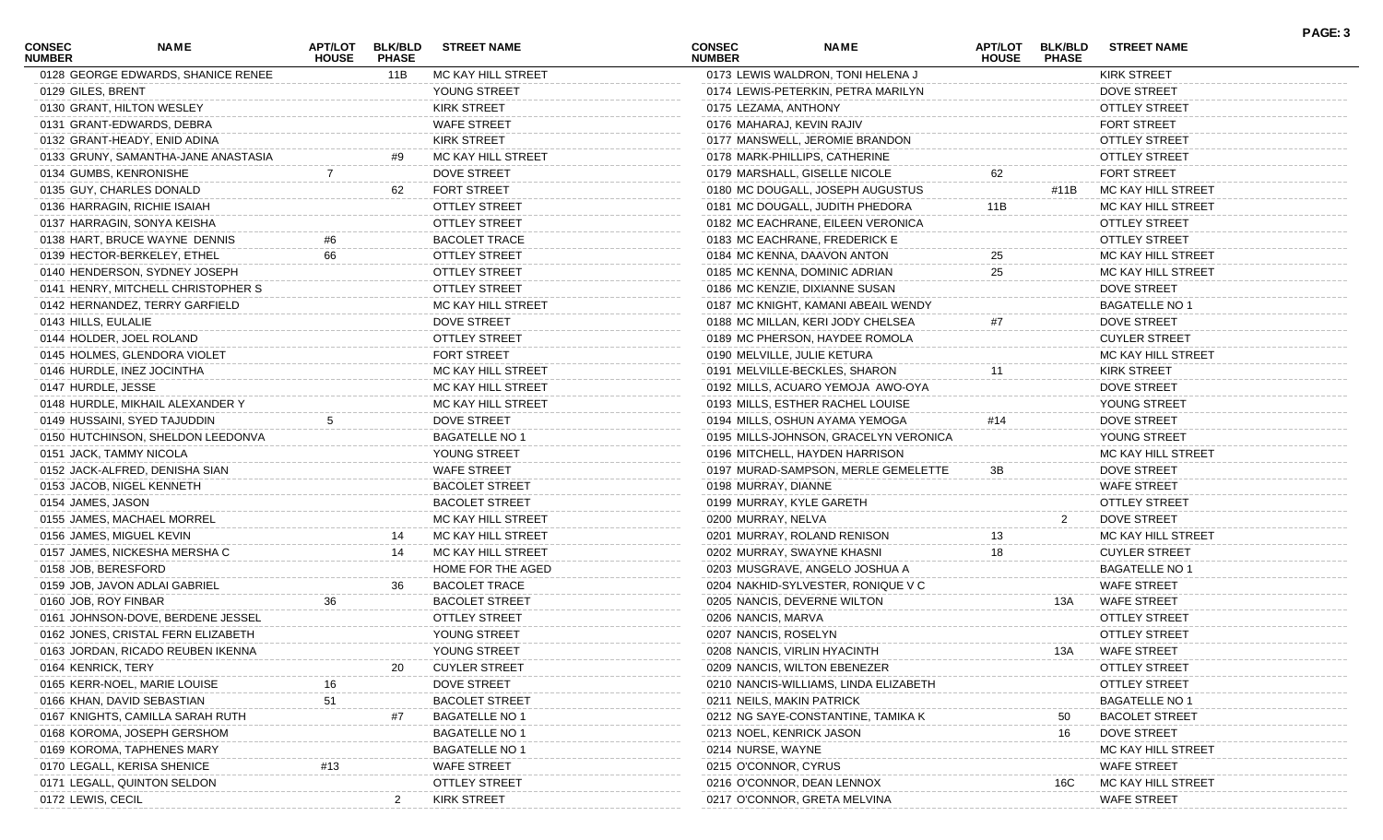| <b>CONSEC</b><br><b>NUMBER</b> | <b>NAME</b>                         | <b>APT/LOT</b><br><b>HOUSE</b> | <b>BLK/BLD</b><br><b>PHASE</b> | <b>STREET NAME</b>    | <b>CONSEC</b><br><b>NUMBER</b> |                      | <b>NAME</b>                           | <b>HOUSE</b> | APT/LOT BLK/BLD<br><b>PHASE</b> | <b>STREET NAME</b>    |
|--------------------------------|-------------------------------------|--------------------------------|--------------------------------|-----------------------|--------------------------------|----------------------|---------------------------------------|--------------|---------------------------------|-----------------------|
|                                | 0128 GEORGE EDWARDS, SHANICE RENEE  |                                | 11B                            | MC KAY HILL STREET    |                                |                      | 0173 LEWIS WALDRON, TONI HELENA J     |              |                                 | <b>KIRK STREET</b>    |
|                                | 0129 GILES, BRENT                   |                                |                                | YOUNG STREET          |                                |                      | 0174 LEWIS-PETERKIN, PETRA MARILYN    |              |                                 | <b>DOVE STREET</b>    |
|                                | 0130 GRANT, HILTON WESLEY           |                                |                                | <b>KIRK STREET</b>    |                                | 0175 LEZAMA, ANTHONY |                                       |              |                                 | <b>OTTLEY STREET</b>  |
|                                | 0131 GRANT-EDWARDS, DEBRA           |                                |                                | <b>WAFE STREET</b>    |                                |                      | 0176 MAHARAJ, KEVIN RAJIV             |              |                                 | <b>FORT STREET</b>    |
|                                | 0132 GRANT-HEADY, ENID ADINA        |                                |                                | <b>KIRK STREET</b>    |                                |                      | 0177 MANSWELL, JEROMIE BRANDON        |              |                                 | <b>OTTLEY STREET</b>  |
|                                | 0133 GRUNY, SAMANTHA-JANE ANASTASIA |                                | #9                             | MC KAY HILL STREET    |                                |                      | 0178 MARK-PHILLIPS, CATHERINE         |              |                                 | <b>OTTLEY STREET</b>  |
|                                | 0134 GUMBS, KENRONISHE              |                                |                                | <b>DOVE STREET</b>    |                                |                      | 0179 MARSHALL, GISELLE NICOLE         | 62           |                                 | <b>FORT STREET</b>    |
|                                | 0135 GUY, CHARLES DONALD            |                                | 62                             | <b>FORT STREET</b>    |                                |                      | 0180 MC DOUGALL, JOSEPH AUGUSTUS      |              | #11B                            | MC KAY HILL STREET    |
|                                | 0136 HARRAGIN, RICHIE ISAIAH        |                                |                                | <b>OTTLEY STREET</b>  |                                |                      | 0181 MC DOUGALL, JUDITH PHEDORA       | 11B          |                                 | MC KAY HILL STREET    |
|                                | 0137 HARRAGIN, SONYA KEISHA         |                                |                                | <b>OTTLEY STREET</b>  |                                |                      | 0182 MC EACHRANE, EILEEN VERONICA     |              |                                 | <b>OTTLEY STREET</b>  |
|                                | 0138 HART, BRUCE WAYNE DENNIS       |                                |                                | <b>BACOLET TRACE</b>  |                                |                      | 0183 MC EACHRANE, FREDERICK E         |              |                                 | <b>OTTLEY STREET</b>  |
|                                | 0139 HECTOR-BERKELEY, ETHEL         | 66                             |                                | <b>OTTLEY STREET</b>  |                                |                      | 0184 MC KENNA, DAAVON ANTON           | 25           |                                 | MC KAY HILL STREET    |
|                                | 0140 HENDERSON, SYDNEY JOSEPH       |                                |                                | <b>OTTLEY STREET</b>  |                                |                      | 0185 MC KENNA, DOMINIC ADRIAN         | 25           |                                 | MC KAY HILL STREET    |
|                                | 0141 HENRY, MITCHELL CHRISTOPHER S  |                                |                                | <b>OTTLEY STREET</b>  |                                |                      | 0186 MC KENZIE, DIXIANNE SUSAN        |              |                                 | <b>DOVE STREET</b>    |
|                                | 0142 HERNANDEZ, TERRY GARFIELD      |                                |                                | MC KAY HILL STREET    |                                |                      | 0187 MC KNIGHT, KAMANI ABEAIL WENDY   |              |                                 | <b>BAGATELLE NO 1</b> |
|                                | 0143 HILLS, EULALIE                 |                                |                                | <b>DOVE STREET</b>    |                                |                      | 0188 MC MILLAN, KERI JODY CHELSEA     | #7           |                                 | <b>DOVE STREET</b>    |
|                                | 0144 HOLDER, JOEL ROLAND            |                                |                                | <b>OTTLEY STREET</b>  |                                |                      | 0189 MC PHERSON, HAYDEE ROMOLA        |              |                                 | <b>CUYLER STREET</b>  |
|                                | 0145 HOLMES, GLENDORA VIOLET        |                                |                                | <b>FORT STREET</b>    |                                |                      | 0190 MELVILLE, JULIE KETURA           |              |                                 | MC KAY HILL STREET    |
|                                | 0146 HURDLE, INEZ JOCINTHA          |                                |                                | MC KAY HILL STREET    |                                |                      | 0191 MELVILLE-BECKLES, SHARON         |              |                                 | <b>KIRK STREET</b>    |
|                                | 0147 HURDLE, JESSE                  |                                |                                | MC KAY HILL STREET    |                                |                      | 0192 MILLS, ACUARO YEMOJA AWO-OYA     |              |                                 | <b>DOVE STREET</b>    |
|                                | 0148 HURDLE, MIKHAIL ALEXANDER Y    |                                |                                | MC KAY HILL STREET    |                                |                      | 0193 MILLS, ESTHER RACHEL LOUISE      |              |                                 | YOUNG STREET          |
|                                | 0149 HUSSAINI, SYED TAJUDDIN        |                                |                                | <b>DOVE STREET</b>    |                                |                      | 0194 MILLS, OSHUN AYAMA YEMOGA        | #14          |                                 | <b>DOVE STREET</b>    |
|                                | 0150 HUTCHINSON, SHELDON LEEDONVA   |                                |                                | <b>BAGATELLE NO 1</b> |                                |                      | 0195 MILLS-JOHNSON, GRACELYN VERONICA |              |                                 | YOUNG STREET          |
|                                | 0151 JACK, TAMMY NICOLA             |                                |                                | YOUNG STREET          |                                |                      | 0196 MITCHELL, HAYDEN HARRISON        |              |                                 | MC KAY HILL STREET    |
|                                | 0152 JACK-ALFRED, DENISHA SIAN      |                                |                                | <b>WAFE STREET</b>    |                                |                      | 0197 MURAD-SAMPSON, MERLE GEMELETTE   | 3B           |                                 | <b>DOVE STREET</b>    |
|                                | 0153 JACOB, NIGEL KENNETH           |                                |                                | <b>BACOLET STREET</b> |                                | 0198 MURRAY, DIANNE  |                                       |              |                                 | <b>WAFE STREET</b>    |
|                                | 0154 JAMES, JASON                   |                                |                                | <b>BACOLET STREET</b> |                                |                      | 0199 MURRAY, KYLE GARETH              |              |                                 | <b>OTTLEY STREET</b>  |
|                                | 0155 JAMES, MACHAEL MORREL          |                                |                                | MC KAY HILL STREET    |                                | 0200 MURRAY, NELVA   |                                       |              |                                 | <b>DOVE STREET</b>    |
|                                | 0156 JAMES, MIGUEL KEVIN            |                                | 14                             | MC KAY HILL STREET    |                                |                      | 0201 MURRAY, ROLAND RENISON           | 13           |                                 | MC KAY HILL STREET    |
|                                | 0157 JAMES, NICKESHA MERSHA C       |                                | 14                             | MC KAY HILL STREET    |                                |                      | 0202 MURRAY, SWAYNE KHASNI            | 18           |                                 | <b>CUYLER STREET</b>  |
|                                | 0158 JOB, BERESFORD                 |                                |                                | HOME FOR THE AGED     |                                |                      | 0203 MUSGRAVE, ANGELO JOSHUA A        |              |                                 | <b>BAGATELLE NO 1</b> |
|                                | 0159 JOB, JAVON ADLAI GABRIEL       |                                | 36                             | <b>BACOLET TRACE</b>  |                                |                      | 0204 NAKHID-SYLVESTER, RONIQUE V C    |              |                                 | <b>WAFE STREET</b>    |
|                                | 0160 JOB, ROY FINBAR                | 36                             |                                | <b>BACOLET STREET</b> |                                |                      | 0205 NANCIS, DEVERNE WILTON           |              | 13A                             | <b>WAFE STREET</b>    |
|                                | 0161 JOHNSON-DOVE, BERDENE JESSEL   |                                |                                | <b>OTTLEY STREET</b>  |                                | 0206 NANCIS, MARVA   |                                       |              |                                 | <b>OTTLEY STREET</b>  |
|                                | 0162 JONES, CRISTAL FERN ELIZABETH  |                                |                                | YOUNG STREET          |                                | 0207 NANCIS, ROSELYN |                                       |              |                                 | <b>OTTLEY STREET</b>  |
|                                | 0163 JORDAN, RICADO REUBEN IKENNA   |                                |                                | YOUNG STREET          |                                |                      | 0208 NANCIS, VIRLIN HYACINTH          |              | 13A                             | <b>WAFE STREET</b>    |
|                                | 0164 KENRICK, TERY                  |                                |                                | <b>CUYLER STREET</b>  |                                |                      | 0209 NANCIS, WILTON EBENEZER          |              |                                 | OTTLEY STREET         |
|                                | 0165 KERR-NOEL, MARIE LOUISE        |                                |                                | <b>DOVE STREET</b>    |                                |                      | 0210 NANCIS-WILLIAMS, LINDA ELIZABETH |              |                                 | <b>OTTLEY STREET</b>  |
|                                | 0166 KHAN, DAVID SEBASTIAN          |                                |                                | <b>BACOLET STREET</b> |                                |                      | 0211 NEILS, MAKIN PATRICK             |              |                                 | <b>BAGATELLE NO 1</b> |
|                                | 0167 KNIGHTS, CAMILLA SARAH RUTH    |                                |                                | <b>BAGATELLE NO 1</b> |                                |                      | 0212 NG SAYE-CONSTANTINE, TAMIKA K    |              | 50                              | <b>BACOLET STREET</b> |
|                                | 0168 KOROMA, JOSEPH GERSHOM         |                                |                                | <b>BAGATELLE NO 1</b> |                                |                      | 0213 NOEL, KENRICK JASON              |              | 16                              | <b>DOVE STREET</b>    |
|                                | 0169 KOROMA, TAPHENES MARY          |                                |                                | <b>BAGATELLE NO 1</b> |                                | 0214 NURSE, WAYNE    |                                       |              |                                 | MC KAY HILL STREET    |
|                                | 0170 LEGALL, KERISA SHENICE         |                                |                                | <b>WAFE STREET</b>    |                                | 0215 O'CONNOR, CYRUS |                                       |              |                                 | <b>WAFE STREET</b>    |
|                                | 0171 LEGALL, QUINTON SELDON         |                                |                                | <b>OTTLEY STREET</b>  |                                |                      | 0216 O'CONNOR, DEAN LENNOX            |              | 16C                             | MC KAY HILL STREET    |
|                                | 0172 LEWIS, CECIL                   |                                |                                | <b>KIRK STREET</b>    |                                |                      | 0217 O'CONNOR, GRETA MELVINA          |              |                                 | <b>WAFE STREET</b>    |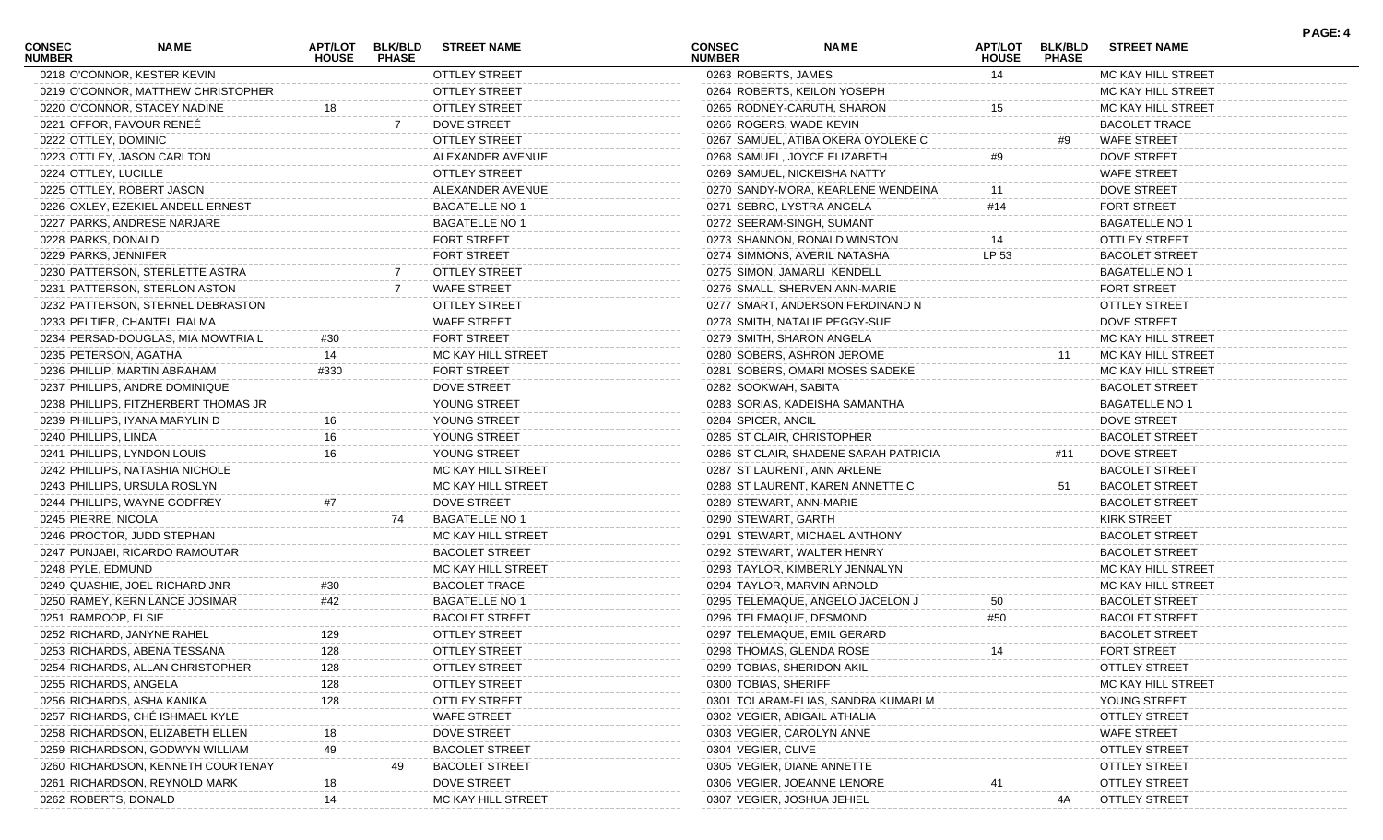| <b>CONSEC</b><br><b>NUMBER</b> | <b>NAME</b>                          | <b>HOUSE</b> | APT/LOT BLK/BLD<br><b>PHASE</b> | <b>STREET NAME</b>    | <b>CONSEC</b><br><b>NUMBER</b> | <b>NAME</b>                           | <b>HOUSE</b> | APT/LOT BLK/BLD<br><b>PHASE</b> | <b>STREET NAME</b>    |  |
|--------------------------------|--------------------------------------|--------------|---------------------------------|-----------------------|--------------------------------|---------------------------------------|--------------|---------------------------------|-----------------------|--|
|                                | 0218 O'CONNOR, KESTER KEVIN          |              |                                 | <b>OTTLEY STREET</b>  | 0263 ROBERTS, JAMES            |                                       | 14           |                                 | MC KAY HILL STREET    |  |
|                                | 0219 O'CONNOR, MATTHEW CHRISTOPHER   |              |                                 | <b>OTTLEY STREET</b>  |                                | 0264 ROBERTS, KEILON YOSEPH           |              |                                 | MC KAY HILL STREET    |  |
|                                | 0220 O'CONNOR, STACEY NADINE         | 18           |                                 | <b>OTTLEY STREET</b>  |                                | 0265 RODNEY-CARUTH, SHARON            | 15           |                                 | MC KAY HILL STREET    |  |
|                                | 0221 OFFOR, FAVOUR RENEE             |              | -7                              | <b>DOVE STREET</b>    |                                | 0266 ROGERS, WADE KEVIN               |              |                                 | <b>BACOLET TRACE</b>  |  |
|                                | 0222 OTTLEY, DOMINIC                 |              |                                 | <b>OTTLEY STREET</b>  |                                | 0267 SAMUEL, ATIBA OKERA OYOLEKE C    |              | #9                              | <b>WAFE STREET</b>    |  |
|                                | 0223 OTTLEY, JASON CARLTON           |              |                                 | ALEXANDER AVENUE      |                                | 0268 SAMUEL, JOYCE ELIZABETH          | #9           |                                 | <b>DOVE STREET</b>    |  |
|                                | 0224 OTTLEY, LUCILLE                 |              |                                 | <b>OTTLEY STREET</b>  |                                | 0269 SAMUEL, NICKEISHA NATTY          |              |                                 | <b>WAFE STREET</b>    |  |
|                                | 0225 OTTLEY, ROBERT JASON            |              |                                 | ALEXANDER AVENUE      |                                | 0270 SANDY-MORA, KEARLENE WENDEINA    | 11           |                                 | <b>DOVE STREET</b>    |  |
|                                | 0226 OXLEY, EZEKIEL ANDELL ERNEST    |              |                                 | <b>BAGATELLE NO 1</b> |                                | 0271 SEBRO, LYSTRA ANGELA             | #14          |                                 | FORT STREET           |  |
|                                | 0227 PARKS, ANDRESE NARJARE          |              |                                 | <b>BAGATELLE NO 1</b> |                                | 0272 SEERAM-SINGH, SUMANT             |              |                                 | <b>BAGATELLE NO 1</b> |  |
| 0228 PARKS, DONALD             |                                      |              |                                 | <b>FORT STREET</b>    |                                | 0273 SHANNON, RONALD WINSTON          | 14           |                                 | <b>OTTLEY STREET</b>  |  |
|                                | 0229 PARKS, JENNIFER                 |              |                                 | <b>FORT STREET</b>    |                                | 0274 SIMMONS, AVERIL NATASHA          | LP 53        |                                 | <b>BACOLET STREET</b> |  |
|                                | 0230 PATTERSON, STERLETTE ASTRA      |              |                                 | <b>OTTLEY STREET</b>  |                                | 0275 SIMON, JAMARLI KENDELL           |              |                                 | <b>BAGATELLE NO 1</b> |  |
|                                | 0231 PATTERSON, STERLON ASTON        |              |                                 | <b>WAFE STREET</b>    |                                | 0276 SMALL, SHERVEN ANN-MARIE         |              |                                 | <b>FORT STREET</b>    |  |
|                                | 0232 PATTERSON, STERNEL DEBRASTON    |              |                                 | <b>OTTLEY STREET</b>  |                                | 0277 SMART, ANDERSON FERDINAND N      |              |                                 | <b>OTTLEY STREET</b>  |  |
|                                | 0233 PELTIER, CHANTEL FIALMA         |              |                                 | <b>WAFE STREET</b>    |                                | 0278 SMITH, NATALIE PEGGY-SUE         |              |                                 | <b>DOVE STREET</b>    |  |
|                                | 0234 PERSAD-DOUGLAS, MIA MOWTRIA L   | #30          |                                 | <b>FORT STREET</b>    |                                | 0279 SMITH, SHARON ANGELA             |              |                                 | MC KAY HILL STREET    |  |
|                                | 0235 PETERSON, AGATHA                |              |                                 | MC KAY HILL STREET    |                                | 0280 SOBERS, ASHRON JEROME            |              | 11                              | MC KAY HILL STREET    |  |
|                                | 0236 PHILLIP, MARTIN ABRAHAM         | #330         |                                 | <b>FORT STREET</b>    |                                | 0281 SOBERS, OMARI MOSES SADEKE       |              |                                 | MC KAY HILL STREET    |  |
|                                | 0237 PHILLIPS, ANDRE DOMINIQUE       |              |                                 | <b>DOVE STREET</b>    | 0282 SOOKWAH, SABITA           |                                       |              |                                 | <b>BACOLET STREET</b> |  |
|                                | 0238 PHILLIPS, FITZHERBERT THOMAS JR |              |                                 | YOUNG STREET          |                                | 0283 SORIAS, KADEISHA SAMANTHA        |              |                                 | <b>BAGATELLE NO 1</b> |  |
|                                | 0239 PHILLIPS, IYANA MARYLIN D       | 16           |                                 | YOUNG STREET          | 0284 SPICER, ANCIL             |                                       |              |                                 | <b>DOVE STREET</b>    |  |
| 0240 PHILLIPS, LINDA           |                                      | 16           |                                 | YOUNG STREET          |                                | 0285 ST CLAIR, CHRISTOPHER            |              |                                 | <b>BACOLET STREET</b> |  |
|                                | 0241 PHILLIPS, LYNDON LOUIS          | 16           |                                 | YOUNG STREET          |                                | 0286 ST CLAIR, SHADENE SARAH PATRICIA |              | #11                             | DOVE STREET           |  |
|                                | 0242 PHILLIPS, NATASHIA NICHOLE      |              |                                 | MC KAY HILL STREET    |                                | 0287 ST LAURENT, ANN ARLENE           |              |                                 | <b>BACOLET STREET</b> |  |
|                                | 0243 PHILLIPS, URSULA ROSLYN         |              |                                 | MC KAY HILL STREET    |                                | 0288 ST LAURENT, KAREN ANNETTE C      |              | -51                             | <b>BACOLET STREET</b> |  |
|                                | 0244 PHILLIPS, WAYNE GODFREY         |              |                                 | <b>DOVE STREET</b>    |                                | 0289 STEWART, ANN-MARIE               |              |                                 | <b>BACOLET STREET</b> |  |
| 0245 PIERRE, NICOLA            |                                      |              | 74                              | <b>BAGATELLE NO 1</b> | 0290 STEWART, GARTH            |                                       |              |                                 | <b>KIRK STREET</b>    |  |
|                                | 0246 PROCTOR, JUDD STEPHAN           |              |                                 | MC KAY HILL STREET    |                                | 0291 STEWART, MICHAEL ANTHONY         |              |                                 | <b>BACOLET STREET</b> |  |
|                                | 0247 PUNJABI, RICARDO RAMOUTAR       |              |                                 | <b>BACOLET STREET</b> |                                | 0292 STEWART, WALTER HENRY            |              |                                 | <b>BACOLET STREET</b> |  |
| 0248 PYLE, EDMUND              |                                      |              |                                 | MC KAY HILL STREET    |                                | 0293 TAYLOR, KIMBERLY JENNALYN        |              |                                 | MC KAY HILL STREET    |  |
|                                | 0249 QUASHIE, JOEL RICHARD JNR       | #30          |                                 | <b>BACOLET TRACE</b>  |                                | 0294 TAYLOR, MARVIN ARNOLD            |              |                                 | MC KAY HILL STREET    |  |
|                                | 0250 RAMEY, KERN LANCE JOSIMAR       | #42          |                                 | <b>BAGATELLE NO 1</b> |                                | 0295 TELEMAQUE, ANGELO JACELON J      | 50           |                                 | <b>BACOLET STREET</b> |  |
|                                | 0251 RAMROOP, ELSIE                  |              |                                 | <b>BACOLET STREET</b> |                                | 0296 TELEMAQUE, DESMOND               | #50          |                                 | <b>BACOLET STREET</b> |  |
|                                | 0252 RICHARD, JANYNE RAHEL           | 129          |                                 | <b>OTTLEY STREET</b>  |                                | 0297 TELEMAQUE, EMIL GERARD           |              |                                 | <b>BACOLET STREET</b> |  |
|                                | 0253 RICHARDS, ABENA TESSANA         | 128          |                                 | OTTLEY STREET         |                                | 0298 THOMAS, GLENDA ROSE              |              |                                 | FORT STREET           |  |
|                                | 0254 RICHARDS, ALLAN CHRISTOPHER     |              |                                 | <b>OTTLEY STREET</b>  |                                | 0299 TOBIAS, SHERIDON AKIL            |              |                                 | <b>OTTLEY STREET</b>  |  |
|                                | 0255 RICHARDS, ANGELA                | 128          |                                 | <b>OTTLEY STREET</b>  | 0300 TOBIAS, SHERIFF           |                                       |              |                                 | MC KAY HILL STREET    |  |
|                                | 0256 RICHARDS, ASHA KANIKA           | 128          |                                 | <b>OTTLEY STREET</b>  |                                | 0301 TOLARAM-ELIAS, SANDRA KUMARI M   |              |                                 | YOUNG STREET          |  |
|                                | 0257 RICHARDS, CHÉ ISHMAEL KYLE      |              |                                 | <b>WAFE STREET</b>    |                                | 0302 VEGIER, ABIGAIL ATHALIA          |              |                                 | <b>OTTLEY STREET</b>  |  |
|                                | 0258 RICHARDSON, ELIZABETH ELLEN     |              |                                 | DOVE STREET           |                                | 0303 VEGIER, CAROLYN ANNE             |              |                                 | <b>WAFE STREET</b>    |  |
|                                | 0259 RICHARDSON, GODWYN WILLIAM      |              |                                 | <b>BACOLET STREET</b> | 0304 VEGIER, CLIVE             |                                       |              |                                 | <b>OTTLEY STREET</b>  |  |
|                                | 0260 RICHARDSON, KENNETH COURTENAY   |              |                                 | <b>BACOLET STREET</b> |                                | 0305 VEGIER, DIANE ANNETTE            |              |                                 | <b>OTTLEY STREET</b>  |  |
|                                | 0261 RICHARDSON, REYNOLD MARK        |              |                                 | <b>DOVE STREET</b>    |                                | 0306 VEGIER, JOEANNE LENORE           |              |                                 | <b>OTTLEY STREET</b>  |  |
|                                | 0262 ROBERTS, DONALD                 | 14           |                                 | MC KAY HILL STREET    |                                | 0307 VEGIER, JOSHUA JEHIEL            |              | 4A                              | <b>OTTLEY STREET</b>  |  |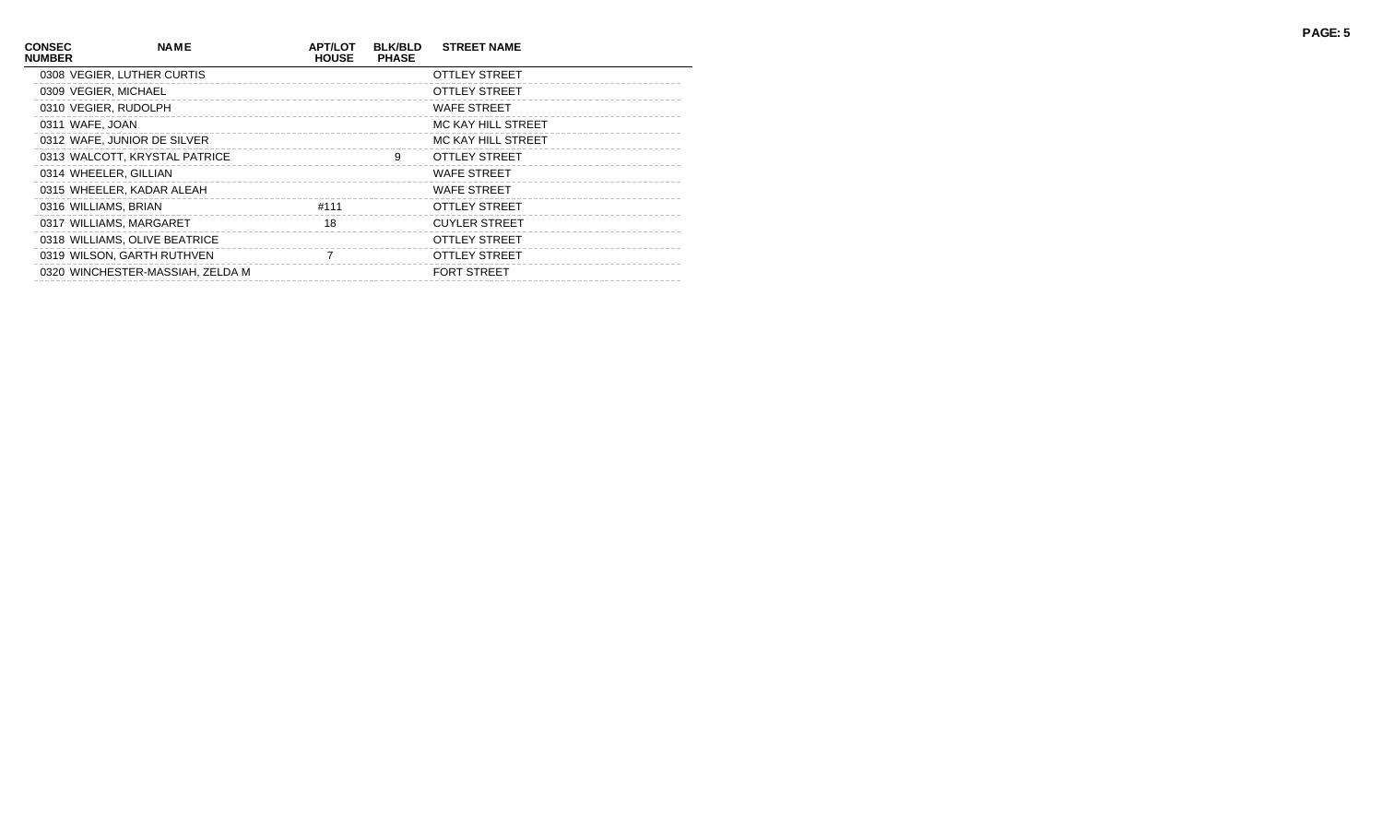| <b>CONSEC</b><br><b>NUMBER</b> | <b>NAME</b>                      | <b>APT/LOT</b><br><b>HOUSE</b> | <b>BLK/BLD</b><br><b>PHASE</b> | <b>STREET NAME</b>   |
|--------------------------------|----------------------------------|--------------------------------|--------------------------------|----------------------|
|                                | 0308 VEGIER, LUTHER CURTIS       |                                |                                | OTTLEY STREET        |
|                                | 0309 VEGIER, MICHAEL             |                                |                                | OTTLEY STREET        |
|                                | 0310 VEGIER, RUDOLPH             |                                |                                | <b>WAFE STREET</b>   |
|                                | 0311 WAFE, JOAN                  |                                |                                | MC KAY HILL STREET   |
|                                | 0312 WAFE, JUNIOR DE SILVER      |                                |                                | MC KAY HILL STREET   |
|                                | 0313 WALCOTT, KRYSTAL PATRICE    |                                | 9                              | OTTLEY STREET        |
|                                | 0314 WHEELER, GILLIAN            |                                |                                | <b>WAFE STREET</b>   |
|                                | 0315 WHEELER, KADAR ALEAH        |                                |                                | <b>WAFE STREET</b>   |
|                                | 0316 WILLIAMS, BRIAN             | #111                           |                                | OTTLEY STREET        |
|                                | 0317 WILLIAMS, MARGARET          | 18                             |                                | <b>CUYLER STREET</b> |
|                                | 0318 WILLIAMS, OLIVE BEATRICE    |                                |                                | OTTLEY STREET        |
|                                | 0319 WILSON, GARTH RUTHVEN       | 7                              |                                | OTTLEY STREET        |
|                                | 0320 WINCHESTER-MASSIAH, ZELDA M |                                |                                | <b>FORT STREET</b>   |